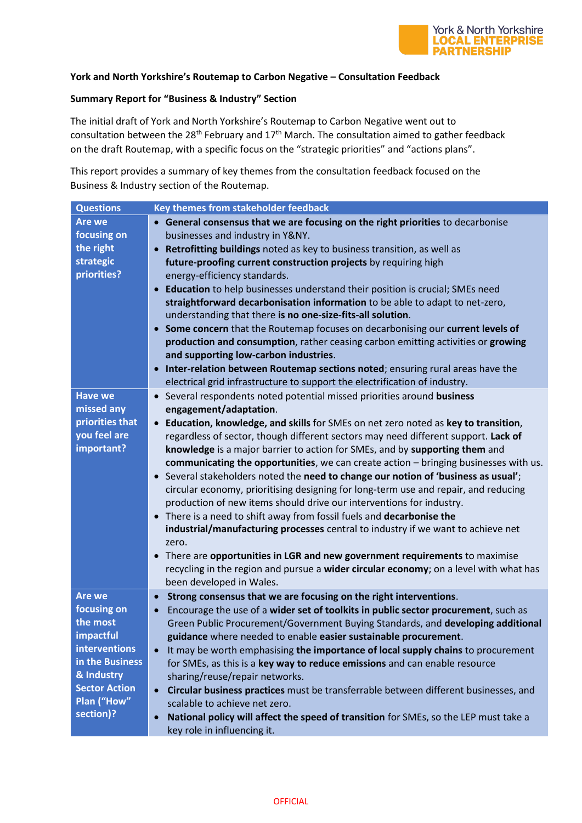

## **York and North Yorkshire's Routemap to Carbon Negative – Consultation Feedback**

## **Summary Report for "Business & Industry" Section**

The initial draft of York and North Yorkshire's Routemap to Carbon Negative went out to consultation between the 28<sup>th</sup> February and  $17<sup>th</sup>$  March. The consultation aimed to gather feedback on the draft Routemap, with a specific focus on the "strategic priorities" and "actions plans".

This report provides a summary of key themes from the consultation feedback focused on the Business & Industry section of the Routemap.

| <b>Are we</b><br>• General consensus that we are focusing on the right priorities to decarbonise<br>focusing on<br>businesses and industry in Y&NY.<br>the right<br>Retrofitting buildings noted as key to business transition, as well as<br>$\bullet$<br>strategic<br>future-proofing current construction projects by requiring high<br>priorities?<br>energy-efficiency standards.<br>Education to help businesses understand their position is crucial; SMEs need<br>$\bullet$<br>straightforward decarbonisation information to be able to adapt to net-zero,<br>understanding that there is no one-size-fits-all solution.<br>Some concern that the Routemap focuses on decarbonising our current levels of<br>$\bullet$<br>production and consumption, rather ceasing carbon emitting activities or growing<br>and supporting low-carbon industries.<br>Inter-relation between Routemap sections noted; ensuring rural areas have the<br>$\bullet$<br>electrical grid infrastructure to support the electrification of industry.<br><b>Have we</b><br>• Several respondents noted potential missed priorities around business<br>missed any<br>engagement/adaptation. | <b>Questions</b> | Key themes from stakeholder feedback                                                 |
|-------------------------------------------------------------------------------------------------------------------------------------------------------------------------------------------------------------------------------------------------------------------------------------------------------------------------------------------------------------------------------------------------------------------------------------------------------------------------------------------------------------------------------------------------------------------------------------------------------------------------------------------------------------------------------------------------------------------------------------------------------------------------------------------------------------------------------------------------------------------------------------------------------------------------------------------------------------------------------------------------------------------------------------------------------------------------------------------------------------------------------------------------------------------------------|------------------|--------------------------------------------------------------------------------------|
|                                                                                                                                                                                                                                                                                                                                                                                                                                                                                                                                                                                                                                                                                                                                                                                                                                                                                                                                                                                                                                                                                                                                                                               |                  |                                                                                      |
|                                                                                                                                                                                                                                                                                                                                                                                                                                                                                                                                                                                                                                                                                                                                                                                                                                                                                                                                                                                                                                                                                                                                                                               |                  |                                                                                      |
|                                                                                                                                                                                                                                                                                                                                                                                                                                                                                                                                                                                                                                                                                                                                                                                                                                                                                                                                                                                                                                                                                                                                                                               |                  |                                                                                      |
|                                                                                                                                                                                                                                                                                                                                                                                                                                                                                                                                                                                                                                                                                                                                                                                                                                                                                                                                                                                                                                                                                                                                                                               |                  |                                                                                      |
|                                                                                                                                                                                                                                                                                                                                                                                                                                                                                                                                                                                                                                                                                                                                                                                                                                                                                                                                                                                                                                                                                                                                                                               |                  |                                                                                      |
|                                                                                                                                                                                                                                                                                                                                                                                                                                                                                                                                                                                                                                                                                                                                                                                                                                                                                                                                                                                                                                                                                                                                                                               |                  |                                                                                      |
|                                                                                                                                                                                                                                                                                                                                                                                                                                                                                                                                                                                                                                                                                                                                                                                                                                                                                                                                                                                                                                                                                                                                                                               |                  |                                                                                      |
|                                                                                                                                                                                                                                                                                                                                                                                                                                                                                                                                                                                                                                                                                                                                                                                                                                                                                                                                                                                                                                                                                                                                                                               |                  |                                                                                      |
|                                                                                                                                                                                                                                                                                                                                                                                                                                                                                                                                                                                                                                                                                                                                                                                                                                                                                                                                                                                                                                                                                                                                                                               |                  |                                                                                      |
|                                                                                                                                                                                                                                                                                                                                                                                                                                                                                                                                                                                                                                                                                                                                                                                                                                                                                                                                                                                                                                                                                                                                                                               |                  |                                                                                      |
|                                                                                                                                                                                                                                                                                                                                                                                                                                                                                                                                                                                                                                                                                                                                                                                                                                                                                                                                                                                                                                                                                                                                                                               |                  |                                                                                      |
|                                                                                                                                                                                                                                                                                                                                                                                                                                                                                                                                                                                                                                                                                                                                                                                                                                                                                                                                                                                                                                                                                                                                                                               |                  |                                                                                      |
|                                                                                                                                                                                                                                                                                                                                                                                                                                                                                                                                                                                                                                                                                                                                                                                                                                                                                                                                                                                                                                                                                                                                                                               |                  |                                                                                      |
|                                                                                                                                                                                                                                                                                                                                                                                                                                                                                                                                                                                                                                                                                                                                                                                                                                                                                                                                                                                                                                                                                                                                                                               |                  |                                                                                      |
|                                                                                                                                                                                                                                                                                                                                                                                                                                                                                                                                                                                                                                                                                                                                                                                                                                                                                                                                                                                                                                                                                                                                                                               |                  |                                                                                      |
| priorities that<br>Education, knowledge, and skills for SMEs on net zero noted as key to transition,<br>$\bullet$                                                                                                                                                                                                                                                                                                                                                                                                                                                                                                                                                                                                                                                                                                                                                                                                                                                                                                                                                                                                                                                             |                  |                                                                                      |
| you feel are<br>regardless of sector, though different sectors may need different support. Lack of                                                                                                                                                                                                                                                                                                                                                                                                                                                                                                                                                                                                                                                                                                                                                                                                                                                                                                                                                                                                                                                                            |                  |                                                                                      |
| important?<br>knowledge is a major barrier to action for SMEs, and by supporting them and                                                                                                                                                                                                                                                                                                                                                                                                                                                                                                                                                                                                                                                                                                                                                                                                                                                                                                                                                                                                                                                                                     |                  |                                                                                      |
|                                                                                                                                                                                                                                                                                                                                                                                                                                                                                                                                                                                                                                                                                                                                                                                                                                                                                                                                                                                                                                                                                                                                                                               |                  | communicating the opportunities, we can create action - bringing businesses with us. |
| Several stakeholders noted the need to change our notion of 'business as usual';<br>$\bullet$                                                                                                                                                                                                                                                                                                                                                                                                                                                                                                                                                                                                                                                                                                                                                                                                                                                                                                                                                                                                                                                                                 |                  |                                                                                      |
| circular economy, prioritising designing for long-term use and repair, and reducing                                                                                                                                                                                                                                                                                                                                                                                                                                                                                                                                                                                                                                                                                                                                                                                                                                                                                                                                                                                                                                                                                           |                  |                                                                                      |
| production of new items should drive our interventions for industry.                                                                                                                                                                                                                                                                                                                                                                                                                                                                                                                                                                                                                                                                                                                                                                                                                                                                                                                                                                                                                                                                                                          |                  |                                                                                      |
| There is a need to shift away from fossil fuels and decarbonise the<br>$\bullet$                                                                                                                                                                                                                                                                                                                                                                                                                                                                                                                                                                                                                                                                                                                                                                                                                                                                                                                                                                                                                                                                                              |                  |                                                                                      |
| industrial/manufacturing processes central to industry if we want to achieve net                                                                                                                                                                                                                                                                                                                                                                                                                                                                                                                                                                                                                                                                                                                                                                                                                                                                                                                                                                                                                                                                                              |                  |                                                                                      |
| zero.                                                                                                                                                                                                                                                                                                                                                                                                                                                                                                                                                                                                                                                                                                                                                                                                                                                                                                                                                                                                                                                                                                                                                                         |                  |                                                                                      |
| There are opportunities in LGR and new government requirements to maximise<br>$\bullet$                                                                                                                                                                                                                                                                                                                                                                                                                                                                                                                                                                                                                                                                                                                                                                                                                                                                                                                                                                                                                                                                                       |                  |                                                                                      |
| recycling in the region and pursue a wider circular economy; on a level with what has                                                                                                                                                                                                                                                                                                                                                                                                                                                                                                                                                                                                                                                                                                                                                                                                                                                                                                                                                                                                                                                                                         |                  |                                                                                      |
| been developed in Wales.                                                                                                                                                                                                                                                                                                                                                                                                                                                                                                                                                                                                                                                                                                                                                                                                                                                                                                                                                                                                                                                                                                                                                      |                  |                                                                                      |
| Are we<br>Strong consensus that we are focusing on the right interventions.<br>$\bullet$                                                                                                                                                                                                                                                                                                                                                                                                                                                                                                                                                                                                                                                                                                                                                                                                                                                                                                                                                                                                                                                                                      |                  |                                                                                      |
| focusing on<br>Encourage the use of a wider set of toolkits in public sector procurement, such as<br>$\bullet$                                                                                                                                                                                                                                                                                                                                                                                                                                                                                                                                                                                                                                                                                                                                                                                                                                                                                                                                                                                                                                                                |                  |                                                                                      |
| the most                                                                                                                                                                                                                                                                                                                                                                                                                                                                                                                                                                                                                                                                                                                                                                                                                                                                                                                                                                                                                                                                                                                                                                      |                  | Green Public Procurement/Government Buying Standards, and developing additional      |
| impactful<br>guidance where needed to enable easier sustainable procurement.                                                                                                                                                                                                                                                                                                                                                                                                                                                                                                                                                                                                                                                                                                                                                                                                                                                                                                                                                                                                                                                                                                  |                  |                                                                                      |
| <b>interventions</b><br>It may be worth emphasising the importance of local supply chains to procurement<br>$\bullet$                                                                                                                                                                                                                                                                                                                                                                                                                                                                                                                                                                                                                                                                                                                                                                                                                                                                                                                                                                                                                                                         |                  |                                                                                      |
| in the Business<br>for SMEs, as this is a key way to reduce emissions and can enable resource                                                                                                                                                                                                                                                                                                                                                                                                                                                                                                                                                                                                                                                                                                                                                                                                                                                                                                                                                                                                                                                                                 |                  |                                                                                      |
| & Industry<br>sharing/reuse/repair networks.                                                                                                                                                                                                                                                                                                                                                                                                                                                                                                                                                                                                                                                                                                                                                                                                                                                                                                                                                                                                                                                                                                                                  |                  |                                                                                      |
| <b>Sector Action</b><br>Circular business practices must be transferrable between different businesses, and<br>$\bullet$                                                                                                                                                                                                                                                                                                                                                                                                                                                                                                                                                                                                                                                                                                                                                                                                                                                                                                                                                                                                                                                      |                  |                                                                                      |
| Plan ("How"<br>scalable to achieve net zero.                                                                                                                                                                                                                                                                                                                                                                                                                                                                                                                                                                                                                                                                                                                                                                                                                                                                                                                                                                                                                                                                                                                                  |                  |                                                                                      |
| section)?<br>National policy will affect the speed of transition for SMEs, so the LEP must take a<br>$\bullet$                                                                                                                                                                                                                                                                                                                                                                                                                                                                                                                                                                                                                                                                                                                                                                                                                                                                                                                                                                                                                                                                |                  |                                                                                      |
| key role in influencing it.                                                                                                                                                                                                                                                                                                                                                                                                                                                                                                                                                                                                                                                                                                                                                                                                                                                                                                                                                                                                                                                                                                                                                   |                  |                                                                                      |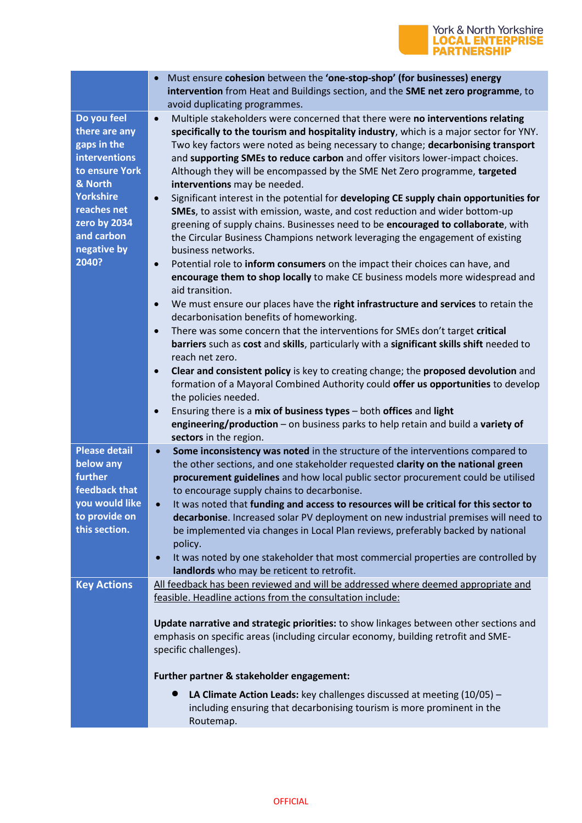## **York & North Yorkshire<br>LOCAL ENTERPRISE<br>PARTNERSHIP**

|                      | Must ensure cohesion between the 'one-stop-shop' (for businesses) energy<br>$\bullet$<br>intervention from Heat and Buildings section, and the SME net zero programme, to<br>avoid duplicating programmes. |
|----------------------|------------------------------------------------------------------------------------------------------------------------------------------------------------------------------------------------------------|
| Do you feel          | Multiple stakeholders were concerned that there were no interventions relating<br>$\bullet$                                                                                                                |
|                      |                                                                                                                                                                                                            |
| there are any        | specifically to the tourism and hospitality industry, which is a major sector for YNY.                                                                                                                     |
| gaps in the          | Two key factors were noted as being necessary to change; decarbonising transport                                                                                                                           |
| <b>interventions</b> | and supporting SMEs to reduce carbon and offer visitors lower-impact choices.                                                                                                                              |
| to ensure York       | Although they will be encompassed by the SME Net Zero programme, targeted                                                                                                                                  |
| & North              | interventions may be needed.                                                                                                                                                                               |
| <b>Yorkshire</b>     | Significant interest in the potential for developing CE supply chain opportunities for                                                                                                                     |
|                      | $\bullet$                                                                                                                                                                                                  |
| reaches net          | SMEs, to assist with emission, waste, and cost reduction and wider bottom-up                                                                                                                               |
| zero by 2034         | greening of supply chains. Businesses need to be encouraged to collaborate, with                                                                                                                           |
| and carbon           | the Circular Business Champions network leveraging the engagement of existing                                                                                                                              |
| negative by          | business networks.                                                                                                                                                                                         |
| 2040?                | Potential role to inform consumers on the impact their choices can have, and<br>$\bullet$                                                                                                                  |
|                      | encourage them to shop locally to make CE business models more widespread and                                                                                                                              |
|                      |                                                                                                                                                                                                            |
|                      | aid transition.                                                                                                                                                                                            |
|                      | We must ensure our places have the right infrastructure and services to retain the<br>$\bullet$                                                                                                            |
|                      | decarbonisation benefits of homeworking.                                                                                                                                                                   |
|                      | There was some concern that the interventions for SMEs don't target critical<br>$\bullet$                                                                                                                  |
|                      | barriers such as cost and skills, particularly with a significant skills shift needed to                                                                                                                   |
|                      | reach net zero.                                                                                                                                                                                            |
|                      |                                                                                                                                                                                                            |
|                      | Clear and consistent policy is key to creating change; the proposed devolution and<br>$\bullet$                                                                                                            |
|                      | formation of a Mayoral Combined Authority could offer us opportunities to develop                                                                                                                          |
|                      | the policies needed.                                                                                                                                                                                       |
|                      | Ensuring there is a mix of business types - both offices and light<br>$\bullet$                                                                                                                            |
|                      | engineering/production - on business parks to help retain and build a variety of                                                                                                                           |
|                      |                                                                                                                                                                                                            |
|                      | sectors in the region.                                                                                                                                                                                     |
| <b>Please detail</b> | Some inconsistency was noted in the structure of the interventions compared to<br>$\bullet$                                                                                                                |
| below any            | the other sections, and one stakeholder requested clarity on the national green                                                                                                                            |
| further              | procurement guidelines and how local public sector procurement could be utilised                                                                                                                           |
| feedback that        | to encourage supply chains to decarbonise.                                                                                                                                                                 |
| you would like       | It was noted that funding and access to resources will be critical for this sector to                                                                                                                      |
| to provide on        |                                                                                                                                                                                                            |
|                      | decarbonise. Increased solar PV deployment on new industrial premises will need to                                                                                                                         |
| this section.        | be implemented via changes in Local Plan reviews, preferably backed by national                                                                                                                            |
|                      |                                                                                                                                                                                                            |
|                      | policy.                                                                                                                                                                                                    |
|                      | It was noted by one stakeholder that most commercial properties are controlled by<br>$\bullet$                                                                                                             |
|                      |                                                                                                                                                                                                            |
|                      | landlords who may be reticent to retrofit.                                                                                                                                                                 |
| <b>Key Actions</b>   | All feedback has been reviewed and will be addressed where deemed appropriate and                                                                                                                          |
|                      | feasible. Headline actions from the consultation include:                                                                                                                                                  |
|                      |                                                                                                                                                                                                            |
|                      | Update narrative and strategic priorities: to show linkages between other sections and                                                                                                                     |
|                      | emphasis on specific areas (including circular economy, building retrofit and SME-                                                                                                                         |
|                      |                                                                                                                                                                                                            |
|                      | specific challenges).                                                                                                                                                                                      |
|                      |                                                                                                                                                                                                            |
|                      | Further partner & stakeholder engagement:                                                                                                                                                                  |
|                      | LA Climate Action Leads: key challenges discussed at meeting $(10/05)$ -<br>$\bullet$                                                                                                                      |
|                      | including ensuring that decarbonising tourism is more prominent in the                                                                                                                                     |
|                      | Routemap.                                                                                                                                                                                                  |